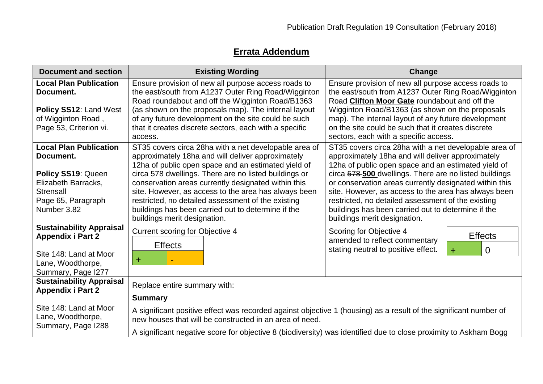## **Errata Addendum**

| <b>Existing Wording</b>                                                                                                                                                                                                                                                                                                                                                                                                                                                               | Change                                                                                                                                                                                                                                                                                                                                                                                                                                                                                    |
|---------------------------------------------------------------------------------------------------------------------------------------------------------------------------------------------------------------------------------------------------------------------------------------------------------------------------------------------------------------------------------------------------------------------------------------------------------------------------------------|-------------------------------------------------------------------------------------------------------------------------------------------------------------------------------------------------------------------------------------------------------------------------------------------------------------------------------------------------------------------------------------------------------------------------------------------------------------------------------------------|
| Ensure provision of new all purpose access roads to<br>the east/south from A1237 Outer Ring Road/Wigginton<br>Road roundabout and off the Wigginton Road/B1363<br>(as shown on the proposals map). The internal layout<br>of any future development on the site could be such<br>that it creates discrete sectors, each with a specific<br>access.                                                                                                                                    | Ensure provision of new all purpose access roads to<br>the east/south from A1237 Outer Ring Road/Wigginton<br>Road Clifton Moor Gate roundabout and off the<br>Wigginton Road/B1363 (as shown on the proposals<br>map). The internal layout of any future development<br>on the site could be such that it creates discrete<br>sectors, each with a specific access.                                                                                                                      |
| ST35 covers circa 28ha with a net developable area of<br>approximately 18ha and will deliver approximately<br>12ha of public open space and an estimated yield of<br>circa 578 dwellings. There are no listed buildings or<br>conservation areas currently designated within this<br>site. However, as access to the area has always been<br>restricted, no detailed assessment of the existing<br>buildings has been carried out to determine if the<br>buildings merit designation. | ST35 covers circa 28ha with a net developable area of<br>approximately 18ha and will deliver approximately<br>12ha of public open space and an estimated yield of<br>circa 578-500 dwellings. There are no listed buildings<br>or conservation areas currently designated within this<br>site. However, as access to the area has always been<br>restricted, no detailed assessment of the existing<br>buildings has been carried out to determine if the<br>buildings merit designation. |
| <b>Current scoring for Objective 4</b><br><b>Effects</b><br>$\bf{+}$                                                                                                                                                                                                                                                                                                                                                                                                                  | Scoring for Objective 4<br><b>Effects</b><br>amended to reflect commentary<br>stating neutral to positive effect.<br>$\overline{0}$<br>$+$                                                                                                                                                                                                                                                                                                                                                |
| Replace entire summary with:<br><b>Summary</b><br>A significant positive effect was recorded against objective 1 (housing) as a result of the significant number of<br>new houses that will be constructed in an area of need.                                                                                                                                                                                                                                                        |                                                                                                                                                                                                                                                                                                                                                                                                                                                                                           |
|                                                                                                                                                                                                                                                                                                                                                                                                                                                                                       | A significant negative score for objective 8 (biodiversity) was identified due to close proximity to Askham Bogg                                                                                                                                                                                                                                                                                                                                                                          |